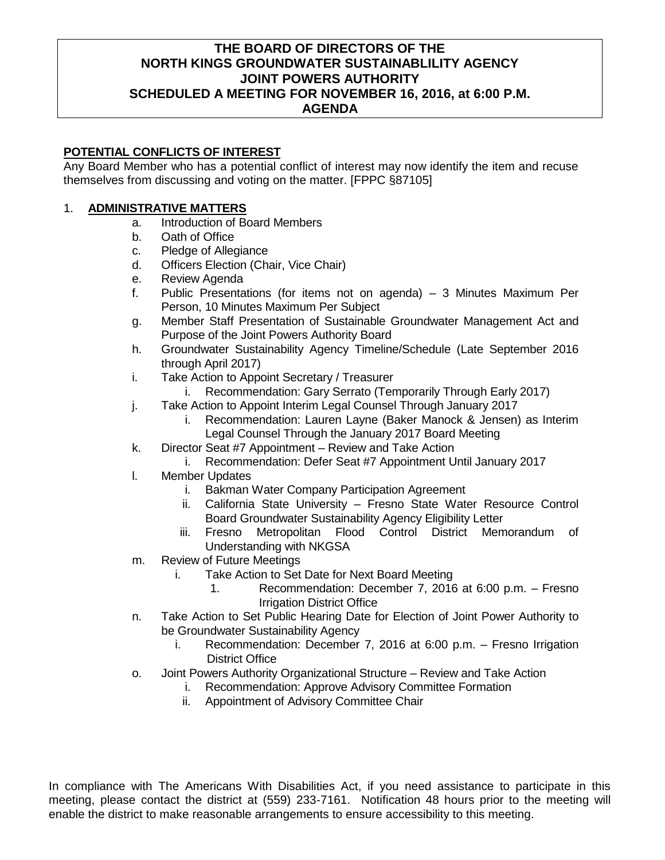## **THE BOARD OF DIRECTORS OF THE NORTH KINGS GROUNDWATER SUSTAINABLILITY AGENCY JOINT POWERS AUTHORITY SCHEDULED A MEETING FOR NOVEMBER 16, 2016, at 6:00 P.M. AGENDA**

#### **POTENTIAL CONFLICTS OF INTEREST**

Any Board Member who has a potential conflict of interest may now identify the item and recuse themselves from discussing and voting on the matter. [FPPC §87105]

#### 1. **ADMINISTRATIVE MATTERS**

- a. Introduction of Board Members
- b. Oath of Office
- c. Pledge of Allegiance
- d. Officers Election (Chair, Vice Chair)
- e. Review Agenda
- f. Public Presentations (for items not on agenda) 3 Minutes Maximum Per Person, 10 Minutes Maximum Per Subject
- g. Member Staff Presentation of Sustainable Groundwater Management Act and Purpose of the Joint Powers Authority Board
- h. Groundwater Sustainability Agency Timeline/Schedule (Late September 2016 through April 2017)
- i. Take Action to Appoint Secretary / Treasurer
	- i. Recommendation: Gary Serrato (Temporarily Through Early 2017)
- j. Take Action to Appoint Interim Legal Counsel Through January 2017
	- i. Recommendation: Lauren Layne (Baker Manock & Jensen) as Interim Legal Counsel Through the January 2017 Board Meeting
- k. Director Seat #7 Appointment Review and Take Action
- i. Recommendation: Defer Seat #7 Appointment Until January 2017
- l. Member Updates
	- i. Bakman Water Company Participation Agreement
	- ii. California State University Fresno State Water Resource Control Board Groundwater Sustainability Agency Eligibility Letter
	- iii. Fresno Metropolitan Flood Control District Memorandum of Understanding with NKGSA
- m. Review of Future Meetings
	- i. Take Action to Set Date for Next Board Meeting
		- 1. Recommendation: December 7, 2016 at 6:00 p.m. Fresno Irrigation District Office
- n. Take Action to Set Public Hearing Date for Election of Joint Power Authority to be Groundwater Sustainability Agency
	- i. Recommendation: December 7, 2016 at 6:00 p.m. Fresno Irrigation District Office
- o. Joint Powers Authority Organizational Structure Review and Take Action
	- i. Recommendation: Approve Advisory Committee Formation
	- ii. Appointment of Advisory Committee Chair

In compliance with The Americans With Disabilities Act, if you need assistance to participate in this meeting, please contact the district at (559) 233-7161. Notification 48 hours prior to the meeting will enable the district to make reasonable arrangements to ensure accessibility to this meeting.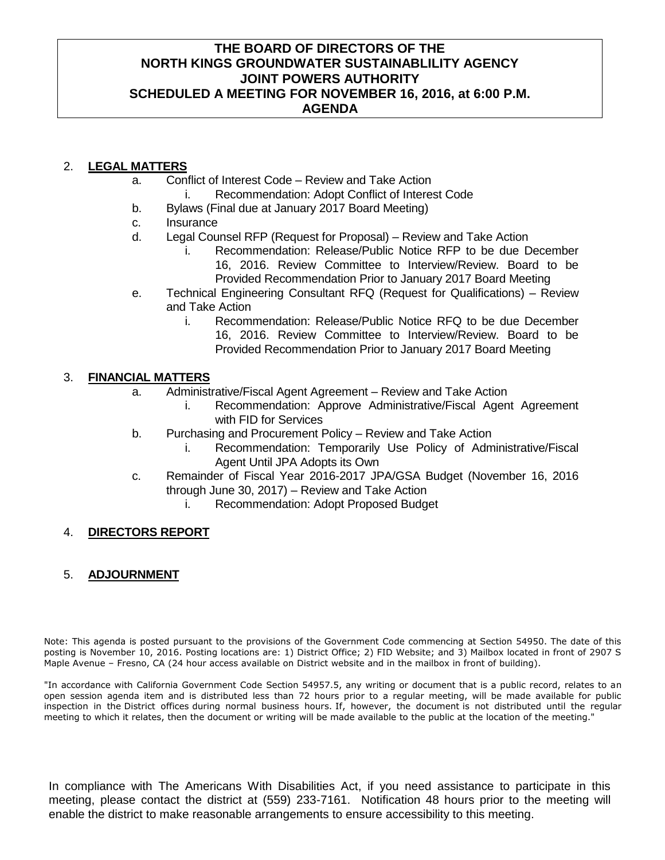## **THE BOARD OF DIRECTORS OF THE NORTH KINGS GROUNDWATER SUSTAINABLILITY AGENCY JOINT POWERS AUTHORITY SCHEDULED A MEETING FOR NOVEMBER 16, 2016, at 6:00 P.M. AGENDA**

## 2. **LEGAL MATTERS**

- a. Conflict of Interest Code Review and Take Action
	- i. Recommendation: Adopt Conflict of Interest Code
- b. Bylaws (Final due at January 2017 Board Meeting)
- c. Insurance
- d. Legal Counsel RFP (Request for Proposal) Review and Take Action
	- i. Recommendation: Release/Public Notice RFP to be due December 16, 2016. Review Committee to Interview/Review. Board to be Provided Recommendation Prior to January 2017 Board Meeting
- e. Technical Engineering Consultant RFQ (Request for Qualifications) Review and Take Action
	- i. Recommendation: Release/Public Notice RFQ to be due December 16, 2016. Review Committee to Interview/Review. Board to be Provided Recommendation Prior to January 2017 Board Meeting

## 3. **FINANCIAL MATTERS**

- a. Administrative/Fiscal Agent Agreement Review and Take Action
	- i. Recommendation: Approve Administrative/Fiscal Agent Agreement with FID for Services
- b. Purchasing and Procurement Policy Review and Take Action
	- i. Recommendation: Temporarily Use Policy of Administrative/Fiscal Agent Until JPA Adopts its Own
- c. Remainder of Fiscal Year 2016-2017 JPA/GSA Budget (November 16, 2016 through June 30, 2017) – Review and Take Action
	- i. Recommendation: Adopt Proposed Budget

## 4. **DIRECTORS REPORT**

## 5. **ADJOURNMENT**

Note: This agenda is posted pursuant to the provisions of the Government Code commencing at Section 54950. The date of this posting is November 10, 2016. Posting locations are: 1) District Office; 2) FID Website; and 3) Mailbox located in front of 2907 S Maple Avenue – Fresno, CA (24 hour access available on District website and in the mailbox in front of building).

"In accordance with California Government Code Section 54957.5, any writing or document that is a public record, relates to an open session agenda item and is distributed less than 72 hours prior to a regular meeting, will be made available for public inspection in the District offices during normal business hours. If, however, the document is not distributed until the regular meeting to which it relates, then the document or writing will be made available to the public at the location of the meeting."

In compliance with The Americans With Disabilities Act, if you need assistance to participate in this meeting, please contact the district at (559) 233-7161. Notification 48 hours prior to the meeting will enable the district to make reasonable arrangements to ensure accessibility to this meeting.